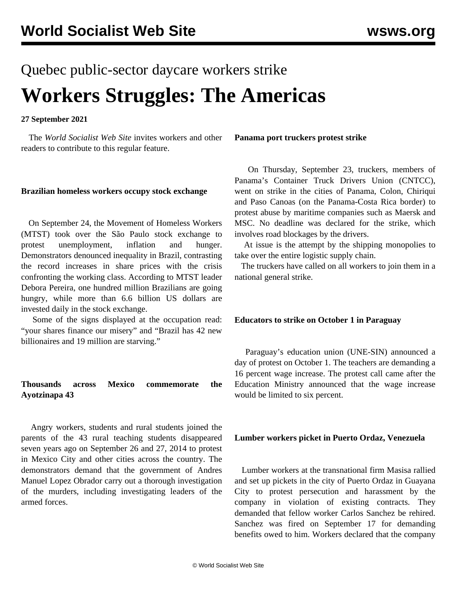# Quebec public-sector daycare workers strike **Workers Struggles: The Americas**

#### **27 September 2021**

 The *World Socialist Web Site* invites workers and other readers to contribute to this regular feature.

#### **Brazilian homeless workers occupy stock exchange**

 On September 24, the Movement of Homeless Workers (MTST) took over the São Paulo stock exchange to protest unemployment, inflation and hunger. Demonstrators denounced inequality in Brazil, contrasting the record increases in share prices with the crisis confronting the working class. According to MTST leader Debora Pereira, one hundred million Brazilians are going hungry, while more than 6.6 billion US dollars are invested daily in the stock exchange.

 Some of the signs displayed at the occupation read: "your shares finance our misery" and "Brazil has 42 new billionaires and 19 million are starving."

## **Thousands across Mexico commemorate the Ayotzinapa 43**

 Angry workers, students and rural students joined the parents of the 43 rural teaching students disappeared seven years ago on September 26 and 27, 2014 to protest in Mexico City and other cities across the country. The demonstrators demand that the government of Andres Manuel Lopez Obrador carry out a thorough investigation of the murders, including investigating leaders of the armed forces.

#### **Panama port truckers protest strike**

 On Thursday, September 23, truckers, members of Panama's Container Truck Drivers Union (CNTCC), went on strike in the cities of Panama, Colon, Chiriqui and Paso Canoas (on the Panama-Costa Rica border) to protest abuse by maritime companies such as Maersk and MSC. No deadline was declared for the strike, which involves road blockages by the drivers.

 At issue is the attempt by the shipping monopolies to take over the entire logistic supply chain.

 The truckers have called on all workers to join them in a national general strike.

### **Educators to strike on October 1 in Paraguay**

 Paraguay's education union (UNE-SIN) announced a day of protest on October 1. The teachers are demanding a 16 percent wage increase. The protest call came after the Education Ministry announced that the wage increase would be limited to six percent.

#### **Lumber workers picket in Puerto Ordaz, Venezuela**

 Lumber workers at the transnational firm Masisa rallied and set up pickets in the city of Puerto Ordaz in Guayana City to protest persecution and harassment by the company in violation of existing contracts. They demanded that fellow worker Carlos Sanchez be rehired. Sanchez was fired on September 17 for demanding benefits owed to him. Workers declared that the company